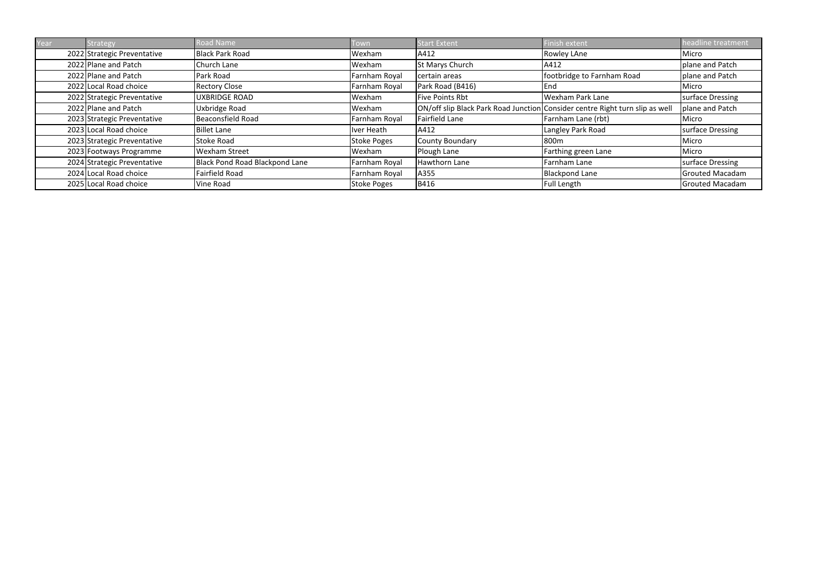| Year | Strategy                    | Road Name                      | Town               | <b>Start Extent</b>    | Finish extent                                                                | headline treatment     |
|------|-----------------------------|--------------------------------|--------------------|------------------------|------------------------------------------------------------------------------|------------------------|
|      | 2022 Strategic Preventative | Black Park Road                | Wexham             | A412                   | <b>Rowley LAne</b>                                                           | Micro                  |
|      | 2022 Plane and Patch        | Church Lane                    | Wexham             | <b>St Marys Church</b> | A412                                                                         | plane and Patch        |
|      | 2022 Plane and Patch        | Park Road                      | Farnham Royal      | certain areas          | footbridge to Farnham Road                                                   | plane and Patch        |
|      | 2022 Local Road choice      | <b>Rectory Close</b>           | Farnham Royal      | Park Road (B416)       | End                                                                          | Micro                  |
|      | 2022 Strategic Preventative | <b>UXBRIDGE ROAD</b>           | Wexham             | <b>Five Points Rbt</b> | Wexham Park Lane                                                             | surface Dressing       |
|      | 2022 Plane and Patch        | Uxbridge Road                  | Wexham             |                        | ON/off slip Black Park Road Junction Consider centre Right turn slip as well | plane and Patch        |
|      | 2023 Strategic Preventative | <b>Beaconsfield Road</b>       | Farnham Royal      | Fairfield Lane         | Farnham Lane (rbt)                                                           | Micro                  |
|      | 2023 Local Road choice      | <b>Billet Lane</b>             | Iver Heath         | A412                   | Langley Park Road                                                            | surface Dressing       |
|      | 2023 Strategic Preventative | <b>Stoke Road</b>              | <b>Stoke Poges</b> | County Boundary        | 800m                                                                         | Micro                  |
|      | 2023 Footways Programme     | <b>Wexham Street</b>           | Wexham             | Plough Lane            | Farthing green Lane                                                          | Micro                  |
|      | 2024 Strategic Preventative | Black Pond Road Blackpond Lane | Farnham Royal      | Hawthorn Lane          | Farnham Lane                                                                 | surface Dressing       |
|      | 2024 Local Road choice      | Fairfield Road                 | Farnham Royal      | A355                   | Blackpond Lane                                                               | <b>Grouted Macadam</b> |
|      | 2025 Local Road choice      | Vine Road                      | <b>Stoke Poges</b> | B416                   | Full Length                                                                  | <b>Grouted Macadam</b> |